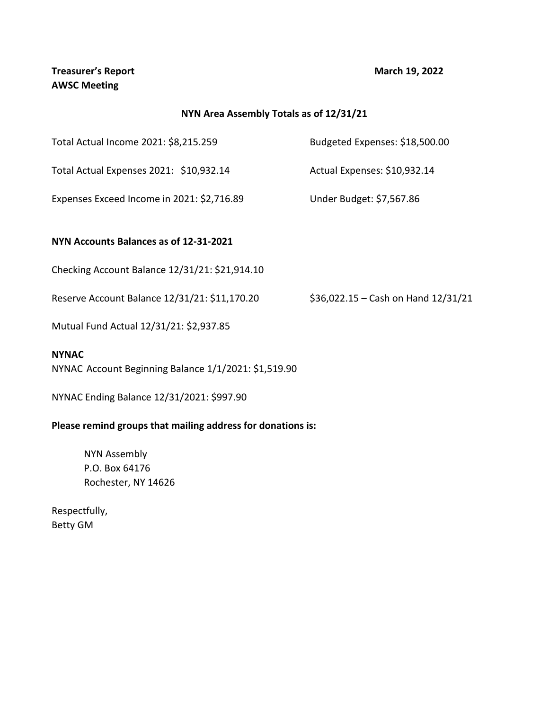## **NYN Area Assembly Totals as of 12/31/21**

Total Actual Income 2021: \$8,215.259 Budgeted Expenses: \$18,500.00

Total Actual Expenses 2021: \$10,932.14 Actual Expenses: \$10,932.14

Expenses Exceed Income in 2021: \$2,716.89 Under Budget: \$7,567.86

### **NYN Accounts Balances as of 12-31-2021**

Checking Account Balance 12/31/21: \$21,914.10

Reserve Account Balance 12/31/21: \$11,170.20 \$36,022.15 – Cash on Hand 12/31/21

Mutual Fund Actual 12/31/21: \$2,937.85

#### **NYNAC**

NYNAC Account Beginning Balance 1/1/2021: \$1,519.90

NYNAC Ending Balance 12/31/2021: \$997.90

### **Please remind groups that mailing address for donations is:**

NYN Assembly P.O. Box 64176 Rochester, NY 14626

Respectfully, Betty GM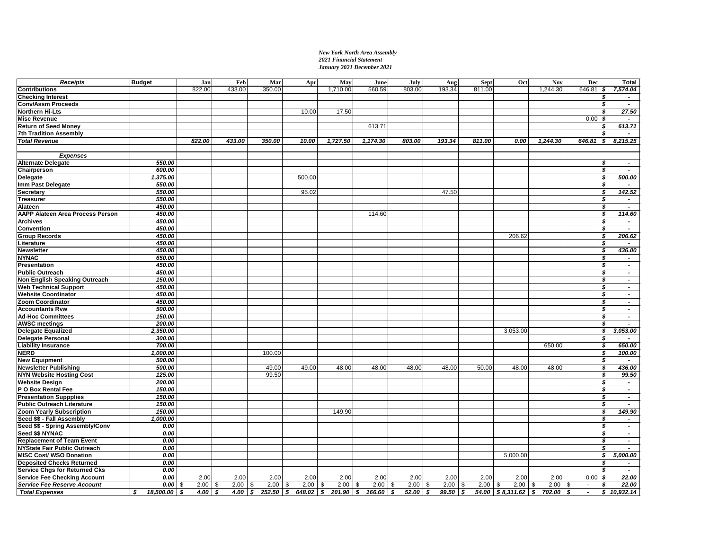#### *New York North Area Assembly 2021 Financial Statement January 2021 December 2021*

| <b>Receipts</b>                      | <b>Budget</b>   | Jan               | Feb        | Mar            | Apr        | May                             | June        | July         | Aug         | <b>Sept</b> | Oct                     | <b>Nov</b> | Dec                  | Total                                                   |
|--------------------------------------|-----------------|-------------------|------------|----------------|------------|---------------------------------|-------------|--------------|-------------|-------------|-------------------------|------------|----------------------|---------------------------------------------------------|
| <b>Contributions</b>                 |                 | 822.00            | 433.00     | 350.00         |            | 1,710.00                        | 560.59      | 803.00       | 193.34      | 811.00      |                         | 1.244.30   | 646.81               | 7,574.04<br>5                                           |
| <b>Checking Interest</b>             |                 |                   |            |                |            |                                 |             |              |             |             |                         |            |                      | \$<br>$\overline{\phantom{a}}$                          |
| Conv/Assm Proceeds                   |                 |                   |            |                |            |                                 |             |              |             |             |                         |            |                      | \$<br>$\overline{\phantom{a}}$                          |
| <b>Northern Hi-Lts</b>               |                 |                   |            |                | 10.00      | 17.50                           |             |              |             |             |                         |            |                      | 27.50<br>\$                                             |
| <b>Misc Revenue</b>                  |                 |                   |            |                |            |                                 |             |              |             |             |                         |            | 0.00                 | \$<br>$\overline{\phantom{a}}$                          |
| <b>Return of Seed Money</b>          |                 |                   |            |                |            |                                 | 613.71      |              |             |             |                         |            |                      | 613.71<br>S                                             |
| 7th Tradition Assembly               |                 |                   |            |                |            |                                 |             |              |             |             |                         |            |                      | \$<br>$\overline{\phantom{a}}$                          |
| <b>Total Revenue</b>                 |                 | 822.00            | 433.00     | 350.00         | 10.00      | 1,727.50                        | 1,174.30    | 803.00       | 193.34      | 811.00      | 0.00                    | 1,244.30   | 646.81               | 8,215.25<br>5                                           |
|                                      |                 |                   |            |                |            |                                 |             |              |             |             |                         |            |                      |                                                         |
| <b>Expenses</b>                      |                 |                   |            |                |            |                                 |             |              |             |             |                         |            |                      |                                                         |
| <b>Alternate Delegate</b>            | 550.00          |                   |            |                |            |                                 |             |              |             |             |                         |            |                      | - \$<br>$\sim$                                          |
| Chairperson                          | 600.00          |                   |            |                |            |                                 |             |              |             |             |                         |            |                      | \$<br>$\sim$                                            |
| Delegate                             | 1,375.00        |                   |            |                | 500.00     |                                 |             |              |             |             |                         |            |                      | 500.00<br>- \$                                          |
| Imm Past Delegate                    | 550.00          |                   |            |                |            |                                 |             |              |             |             |                         |            |                      | \$<br>$\overline{\phantom{a}}$                          |
| Secretary                            | 550.00          |                   |            |                | 95.02      |                                 |             |              | 47.50       |             |                         |            |                      | 142.52<br>\$                                            |
| <b>Treasurer</b>                     | 550.00          |                   |            |                |            |                                 |             |              |             |             |                         |            |                      | $\overline{\boldsymbol{s}}$<br>$\sim$                   |
| <b>Alateen</b>                       | 450.00          |                   |            |                |            |                                 |             |              |             |             |                         |            |                      | s<br>$\mathcal{L}_{\mathcal{A}}$                        |
| AAPP Alateen Area Process Person     | 450.00          |                   |            |                |            |                                 | 114.60      |              |             |             |                         |            |                      | 114.60<br>\$                                            |
| <b>Archives</b>                      | 450.00          |                   |            |                |            |                                 |             |              |             |             |                         |            |                      | \$<br>$\sim$                                            |
| Convention                           | 450.00          |                   |            |                |            |                                 |             |              |             |             |                         |            |                      | $\overline{\mathbf{s}}$<br>$\sim$                       |
| <b>Group Records</b>                 | 450.00          |                   |            |                |            |                                 |             |              |             |             | 206.62                  |            |                      | $\overline{\mathbf{s}}$<br>206.62                       |
| Literature                           | 450.00          |                   |            |                |            |                                 |             |              |             |             |                         |            |                      | $\overline{\mathbf{s}}$                                 |
| <b>Newsletter</b>                    | 450.00          |                   |            |                |            |                                 |             |              |             |             |                         |            |                      | 436.00<br>\$                                            |
| <b>NYNAC</b>                         | 650.00          |                   |            |                |            |                                 |             |              |             |             |                         |            |                      | \$<br>$\sim$                                            |
| Presentation                         | 450.00          |                   |            |                |            |                                 |             |              |             |             |                         |            |                      | \$<br>$\sim$                                            |
| <b>Public Outreach</b>               | 450.00          |                   |            |                |            |                                 |             |              |             |             |                         |            |                      | \$<br>$\overline{\phantom{a}}$                          |
| Non English Speaking Outreach        | 150.00          |                   |            |                |            |                                 |             |              |             |             |                         |            |                      | s<br>$\sim$                                             |
| <b>Web Technical Support</b>         | 450.00          |                   |            |                |            |                                 |             |              |             |             |                         |            |                      | \$<br>$\sim$                                            |
| <b>Website Coordinator</b>           | 450.00          |                   |            |                |            |                                 |             |              |             |             |                         |            |                      | \$<br>$\blacksquare$                                    |
| <b>Zoom Coordinator</b>              | 450.00          |                   |            |                |            |                                 |             |              |             |             |                         |            |                      | \$<br>$\sim$                                            |
| <b>Accountants Rvw</b>               | 500.00          |                   |            |                |            |                                 |             |              |             |             |                         |            |                      | \$<br>$\sim$                                            |
| <b>Ad-Hoc Committees</b>             | 150.00          |                   |            |                |            |                                 |             |              |             |             |                         |            |                      | \$<br>$\sim$                                            |
| <b>AWSC meetings</b>                 | 200.00          |                   |            |                |            |                                 |             |              |             |             |                         |            |                      | $\overline{\boldsymbol{s}}$<br>$\overline{\phantom{0}}$ |
| <b>Delegate Equalized</b>            | 2,350.00        |                   |            |                |            |                                 |             |              |             |             | 3,053.00                |            |                      | 3,053.00<br>\$                                          |
| <b>Delegate Personal</b>             | 300.00          |                   |            |                |            |                                 |             |              |             |             |                         |            |                      | \$<br>$\overline{\phantom{a}}$                          |
| <b>Liability Insurance</b>           | 700.00          |                   |            |                |            |                                 |             |              |             |             |                         | 650.00     |                      | \$<br>650.00                                            |
| <b>NERD</b>                          | 1,000.00        |                   |            | 100.00         |            |                                 |             |              |             |             |                         |            |                      | $\overline{\mathbf{s}}$<br>100.00                       |
| <b>New Equipment</b>                 | 500.00          |                   |            |                |            |                                 |             |              |             |             |                         |            |                      | \$<br>$\sim$                                            |
| <b>Newsletter Publishing</b>         | 500.00          |                   |            | 49.00          | 49.00      | 48.00                           | 48.00       | 48.00        | 48.00       | 50.00       | 48.00                   | 48.00      |                      | $\overline{\mathbf{s}}$<br>436.00                       |
| <b>NYN Website Hosting Cost</b>      | 125.00          |                   |            | 99.50          |            |                                 |             |              |             |             |                         |            |                      | 99.50<br>\$                                             |
| <b>Website Design</b>                | 200.00          |                   |            |                |            |                                 |             |              |             |             |                         |            |                      | \$<br>$\sim$                                            |
| P O Box Rental Fee                   | 150.00          |                   |            |                |            |                                 |             |              |             |             |                         |            |                      | \$<br>$\sim$                                            |
| <b>Presentation Suppplies</b>        | 150.00          |                   |            |                |            |                                 |             |              |             |             |                         |            |                      | \$<br>$\overline{\phantom{a}}$                          |
| <b>Public Outreach Literature</b>    | 150.00          |                   |            |                |            |                                 |             |              |             |             |                         |            |                      | S<br>$\omega$                                           |
| Zoom Yearly Subscription             | 150.00          |                   |            |                |            | 149.90                          |             |              |             |             |                         |            |                      | 149.90<br>\$                                            |
| Seed \$\$ - Fall Assembly            | 1,000.00        |                   |            |                |            |                                 |             |              |             |             |                         |            |                      | \$<br>$\overline{\phantom{a}}$                          |
| Seed \$\$ - Spring Assembly/Conv     | 0.00            |                   |            |                |            |                                 |             |              |             |             |                         |            |                      | - \$<br>$\sim$                                          |
| Seed \$\$ NYNAC                      | 0.00            |                   |            |                |            |                                 |             |              |             |             |                         |            |                      | \$<br>$\sim$                                            |
| <b>Replacement of Team Event</b>     | 0.00            |                   |            |                |            |                                 |             |              |             |             |                         |            |                      | \$<br>$\blacksquare$                                    |
| <b>NYState Fair Public Outreach</b>  | 0.00            |                   |            |                |            |                                 |             |              |             |             |                         |            |                      | $\overline{\boldsymbol{s}}$<br>$\overline{\phantom{0}}$ |
| <b>MISC Cost/ WSO Donation</b>       | 0.00            |                   |            |                |            |                                 |             |              |             |             | 5,000.00                |            |                      | 5,000.00<br>\$                                          |
| <b>Deposited Checks Returned</b>     | 0.00            |                   |            |                |            |                                 |             |              |             |             |                         |            |                      | -\$<br>$\overline{\phantom{a}}$                         |
|                                      |                 |                   |            |                |            |                                 |             |              |             |             |                         |            |                      |                                                         |
| <b>Service Chgs for Returned Cks</b> | 0.00            |                   |            |                |            |                                 |             |              |             |             |                         |            |                      | \$<br>$\overline{\phantom{a}}$                          |
| <b>Service Fee Checking Account</b>  | 0.00            | 2.00              | 2.00       | 2.00           | 2.00       | 2.00                            | 2.00        | 2.00         | 2.00        | 2.00        | 2.00                    | 2.00       | 0.00                 | 22.00<br>\$                                             |
| <b>Service Fee Reserve Account</b>   | 0.00            | 2.00<br>- \$      | 2.00<br>\$ | 2.00<br>\$     | 2.00<br>\$ | 2.00<br>\$                      | 2.00<br>\$  | 2.00<br>- \$ | 2.00<br>-\$ | 2.00<br>\$  | 2.00<br>\$.             | 2.00<br>\$ | \$<br>$\sim$         | 22.00<br>\$                                             |
| <b>Total Expenses</b>                | 18,500.00<br>\$ | $4.00$ \$<br>- \$ |            | 4.00 \$ 252.50 |            | $$648.02 \quad $201.90 \quad $$ | $166.60$ \$ | $52.00$ \$   | 99.50       | \$          | $54.00$ $$8,311.62$ $$$ | 702.00     | \$<br>$\blacksquare$ | \$10,932.14                                             |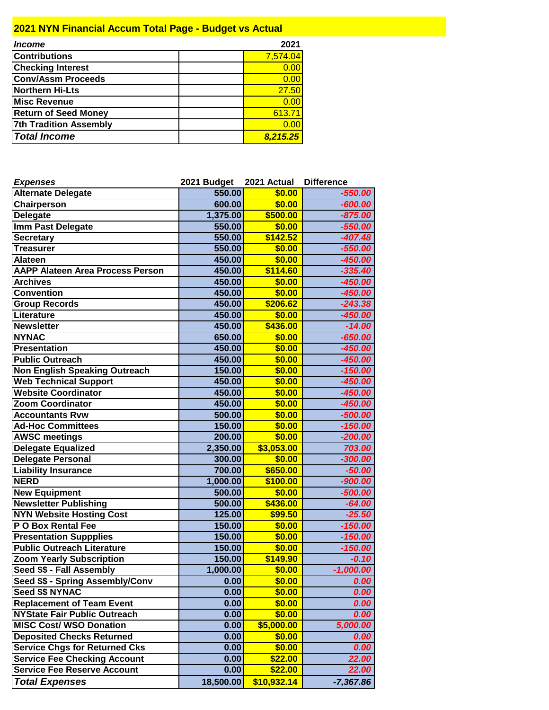# **2021 NYN Financial Accum Total Page - Budget vs Actual**

| <i><b>Income</b></i>          | 2021     |
|-------------------------------|----------|
| <b>Contributions</b>          | 7,574.04 |
| <b>Checking Interest</b>      | 0.00     |
| <b>Conv/Assm Proceeds</b>     | 0.00     |
| Northern Hi-Lts               | 27.50    |
| <b>Misc Revenue</b>           | 0.00     |
| <b>Return of Seed Money</b>   | 613.71   |
| <b>7th Tradition Assembly</b> | 0.00     |
| <b>Total Income</b>           | 8.215.25 |

| <b>Expenses</b>                         | 2021 Budget | 2021 Actual | <b>Difference</b>  |
|-----------------------------------------|-------------|-------------|--------------------|
| <b>Alternate Delegate</b>               | 550.00      | \$0.00      | $-550.00$          |
| Chairperson                             | 600.00      | \$0.00      | $-600.00$          |
| <b>Delegate</b>                         | 1,375.00    | \$500.00    | $-875.00$          |
| Imm Past Delegate                       | 550.00      | \$0.00      | -550.00            |
| <b>Secretary</b>                        | 550.00      | \$142.52    | $-407.48$          |
| <b>Treasurer</b>                        | 550.00      | \$0.00      | $-550.00$          |
| <b>Alateen</b>                          | 450.00      | \$0.00      | $-450.00$          |
| <b>AAPP Alateen Area Process Person</b> | 450.00      | \$114.60    | $-335.40$          |
| <b>Archives</b>                         | 450.00      | \$0.00      | $-450.00$          |
| Convention                              | 450.00      | \$0.00      | $-450.00$          |
| <b>Group Records</b>                    | 450.00      | \$206.62    | $-243.38$          |
| Literature                              | 450.00      | \$0.00      | $-450.00$          |
| <b>Newsletter</b>                       | 450.00      | \$436.00    | $-14.00$           |
| <b>NYNAC</b>                            | 650.00      | \$0.00      | $-650.00$          |
| <b>Presentation</b>                     | 450.00      | \$0.00      | $-450.00$          |
| <b>Public Outreach</b>                  | 450.00      | \$0.00      | $-450.00$          |
| <b>Non English Speaking Outreach</b>    | 150.00      | \$0.00      | $-150.00$          |
| <b>Web Technical Support</b>            | 450.00      | \$0.00      | $-450.00$          |
| <b>Website Coordinator</b>              | 450.00      | \$0.00      | $-450.00$          |
| <b>Zoom Coordinator</b>                 | 450.00      | \$0.00      | $-450.00$          |
| <b>Accountants Rvw</b>                  | 500.00      | \$0.00      | $-500.00$          |
| <b>Ad-Hoc Committees</b>                | 150.00      | \$0.00      | $-150.00$          |
| <b>AWSC meetings</b>                    | 200.00      | \$0.00      | $-200.00$          |
| <b>Delegate Equalized</b>               | 2,350.00    | \$3,053.00  | 703.00             |
| <b>Delegate Personal</b>                | 300.00      | \$0.00      | $-300.00$          |
| <b>Liability Insurance</b>              | 700.00      | \$650.00    | $-50.00$           |
| <b>NERD</b>                             | 1,000.00    | \$100.00    | $-900.00$          |
| <b>New Equipment</b>                    | 500.00      | \$0.00      | $-500.00$          |
| <b>Newsletter Publishing</b>            | 500.00      | \$436.00    | $-64.00$           |
| <b>NYN Website Hosting Cost</b>         | 125.00      | \$99.50     | $-25.50$           |
| P O Box Rental Fee                      | 150.00      | \$0.00      | $-150.00$          |
| <b>Presentation Suppplies</b>           | 150.00      | \$0.00      | $-150.00$          |
| <b>Public Outreach Literature</b>       | 150.00      | \$0.00      | $-150.00$          |
| <b>Zoom Yearly Subscription</b>         | 150.00      | \$149.90    | $-0.10$            |
| Seed \$\$ - Fall Assembly               | 1,000.00    | \$0.00      | $-1,000.00$        |
| Seed \$\$ - Spring Assembly/Conv        | 0.00        | \$0.00      | <i><b>U.UU</b></i> |
| Seed \$\$ NYNAC                         | 0.00        | \$0.00      | 0.00               |
| <b>Replacement of Team Event</b>        | 0.00        | \$0.00      | 0.00               |
| <b>NYState Fair Public Outreach</b>     | 0.00        | \$0.00      | 0.00               |
| <b>MISC Cost/ WSO Donation</b>          | 0.00        | \$5,000.00  | 5,000.00           |
| <b>Deposited Checks Returned</b>        | 0.00        | \$0.00      | 0.00               |
| <b>Service Chgs for Returned Cks</b>    | 0.00        | \$0.00      | 0.00               |
| <b>Service Fee Checking Account</b>     | 0.00        | \$22.00     | 22.00              |
| <b>Service Fee Reserve Account</b>      | 0.00        | \$22.00     | 22.00              |
| <b>Total Expenses</b>                   | 18,500.00   | \$10,932.14 | $-7,367.86$        |